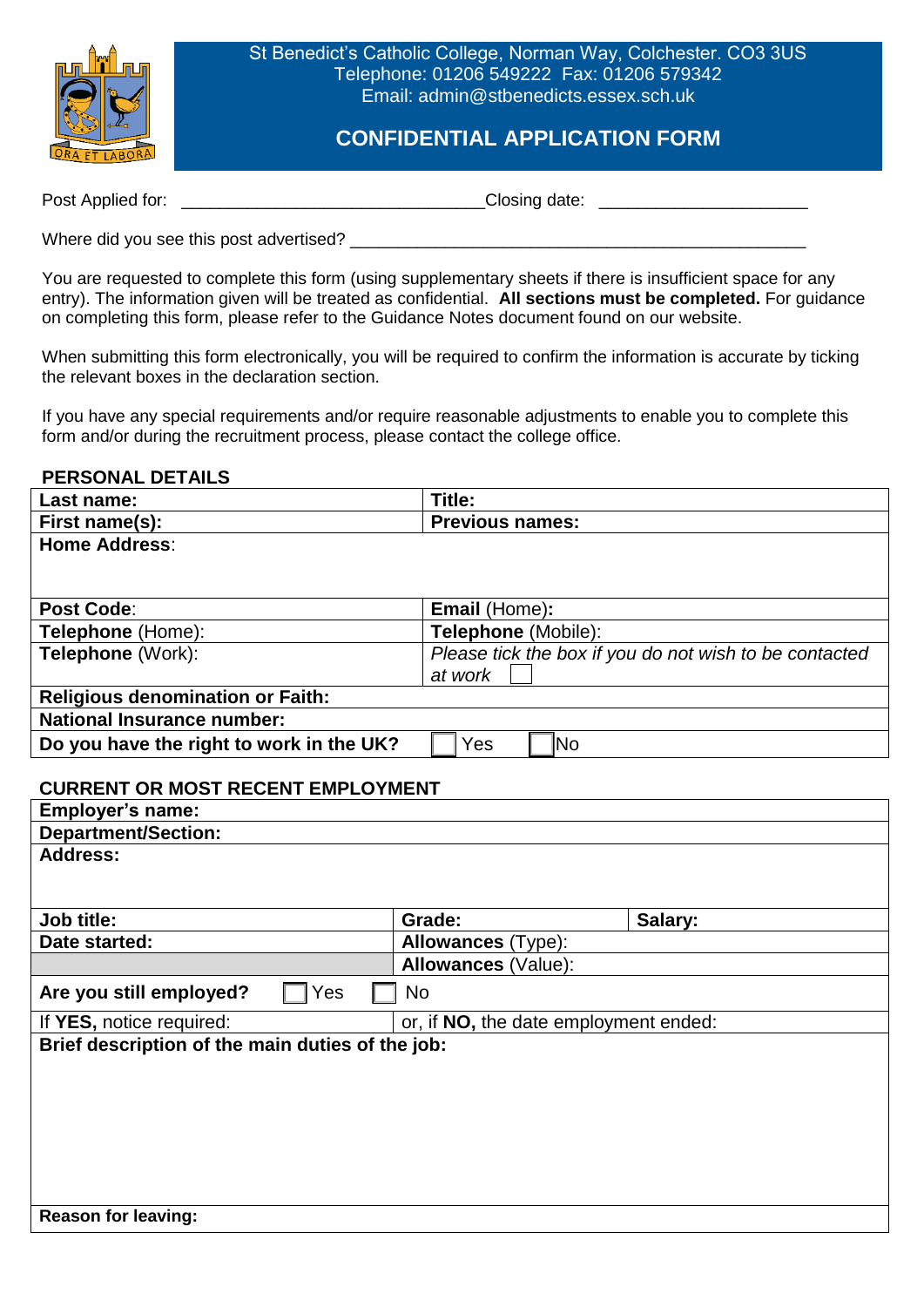

St Benedict's Catholic College, Norman Way, Colchester. CO3 3US Telephone: 01206 549222 Fax: 01206 579342 Email: admin@stbenedicts.essex.sch.uk

## **CONFIDENTIAL APPLICATION FORM**

Post Applied for: \_\_\_\_\_\_\_\_\_\_\_\_\_\_\_\_\_\_\_\_\_\_\_\_\_\_\_\_\_\_\_\_Closing date: \_\_\_\_\_\_\_\_\_\_\_\_\_\_\_\_\_\_\_\_\_\_

Where did you see this post advertised? \_\_\_\_\_\_\_\_\_\_\_\_\_\_\_\_\_\_\_\_\_\_\_\_\_\_\_\_\_\_\_\_\_\_\_\_\_\_\_\_\_\_\_\_\_\_\_\_

You are requested to complete this form (using supplementary sheets if there is insufficient space for any entry). The information given will be treated as confidential. **All sections must be completed.** For guidance on completing this form, please refer to the Guidance Notes document found on our website.

When submitting this form electronically, you will be required to confirm the information is accurate by ticking the relevant boxes in the declaration section.

If you have any special requirements and/or require reasonable adjustments to enable you to complete this form and/or during the recruitment process, please contact the college office.

## **PERSONAL DETAILS**

| Last name:                                                                     | Title:                                |                                                        |  |  |
|--------------------------------------------------------------------------------|---------------------------------------|--------------------------------------------------------|--|--|
| First name(s):                                                                 | <b>Previous names:</b>                |                                                        |  |  |
| <b>Home Address:</b>                                                           |                                       |                                                        |  |  |
| <b>Post Code:</b>                                                              | Email (Home):                         |                                                        |  |  |
| Telephone (Home):                                                              | Telephone (Mobile):                   |                                                        |  |  |
| Telephone (Work):                                                              | at work                               | Please tick the box if you do not wish to be contacted |  |  |
| <b>Religious denomination or Faith:</b>                                        |                                       |                                                        |  |  |
| <b>National Insurance number:</b>                                              |                                       |                                                        |  |  |
| Do you have the right to work in the UK?                                       | Yes<br>N <sub>o</sub>                 |                                                        |  |  |
| <b>CURRENT OR MOST RECENT EMPLOYMENT</b><br>Employer's name:                   |                                       |                                                        |  |  |
| <b>Department/Section:</b>                                                     |                                       |                                                        |  |  |
| <b>Address:</b>                                                                |                                       |                                                        |  |  |
| <b>Job title:</b>                                                              | Grade:                                | Salary:                                                |  |  |
| Date started:                                                                  | <b>Allowances</b> (Type):             |                                                        |  |  |
|                                                                                | Allowances (Value):                   |                                                        |  |  |
| Are you still employed?<br>Yes                                                 | <b>No</b>                             |                                                        |  |  |
| If YES, notice required:                                                       | or, if NO, the date employment ended: |                                                        |  |  |
| Brief description of the main duties of the job:<br><b>Reason for leaving:</b> |                                       |                                                        |  |  |
|                                                                                |                                       |                                                        |  |  |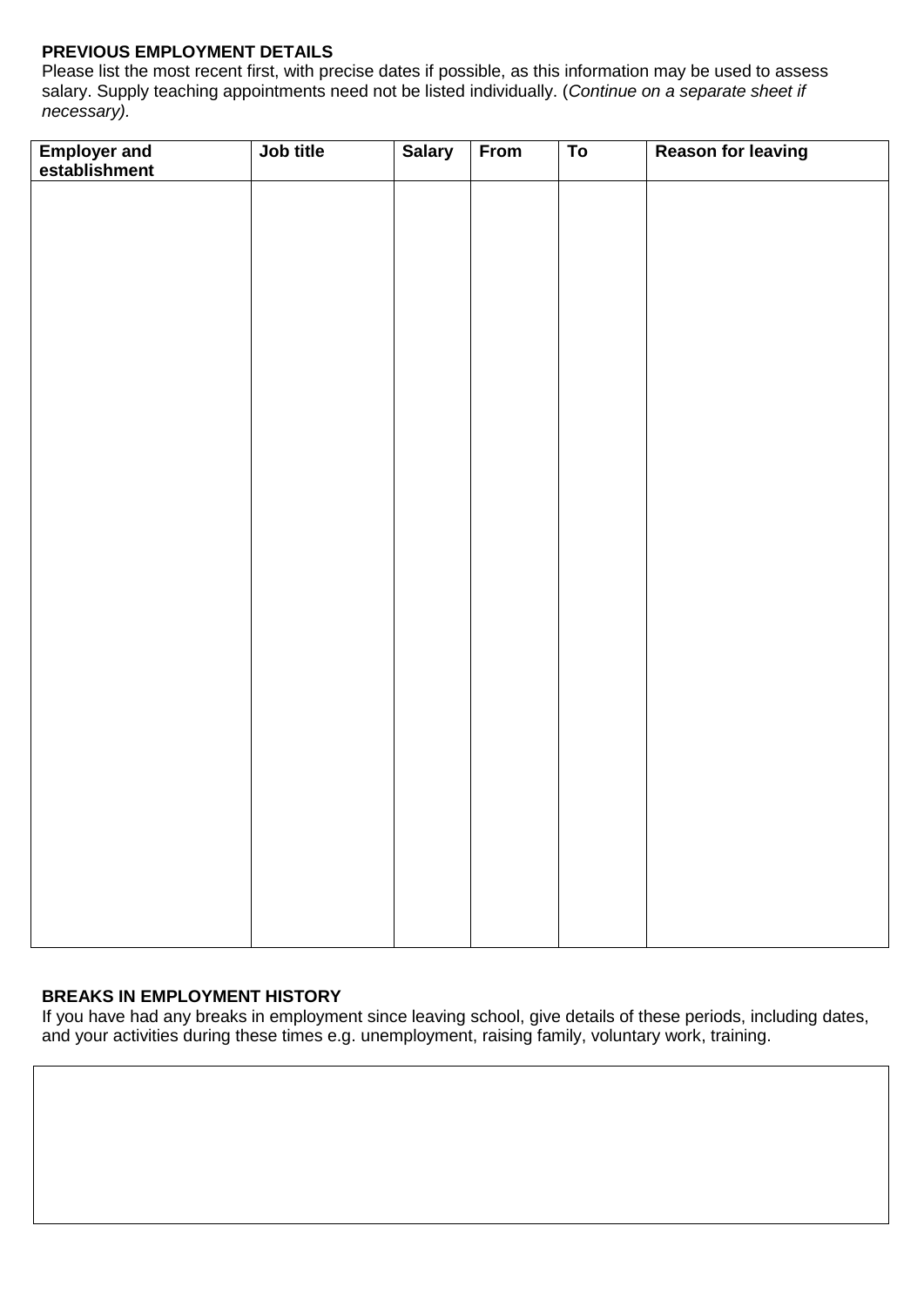## **PREVIOUS EMPLOYMENT DETAILS**

Please list the most recent first, with precise dates if possible, as this information may be used to assess salary. Supply teaching appointments need not be listed individually. (*Continue on a separate sheet if necessary).*

| <b>Employer and<br/>establishment</b> | Job title | <b>Salary</b> | From | $\overline{To}$ | <b>Reason for leaving</b> |
|---------------------------------------|-----------|---------------|------|-----------------|---------------------------|
|                                       |           |               |      |                 |                           |
|                                       |           |               |      |                 |                           |
|                                       |           |               |      |                 |                           |
|                                       |           |               |      |                 |                           |
|                                       |           |               |      |                 |                           |
|                                       |           |               |      |                 |                           |
|                                       |           |               |      |                 |                           |
|                                       |           |               |      |                 |                           |
|                                       |           |               |      |                 |                           |
|                                       |           |               |      |                 |                           |
|                                       |           |               |      |                 |                           |
|                                       |           |               |      |                 |                           |
|                                       |           |               |      |                 |                           |
|                                       |           |               |      |                 |                           |
|                                       |           |               |      |                 |                           |
|                                       |           |               |      |                 |                           |
|                                       |           |               |      |                 |                           |
|                                       |           |               |      |                 |                           |
|                                       |           |               |      |                 |                           |
|                                       |           |               |      |                 |                           |
|                                       |           |               |      |                 |                           |
|                                       |           |               |      |                 |                           |
|                                       |           |               |      |                 |                           |

#### **BREAKS IN EMPLOYMENT HISTORY**

If you have had any breaks in employment since leaving school, give details of these periods, including dates, and your activities during these times e.g. unemployment, raising family, voluntary work, training.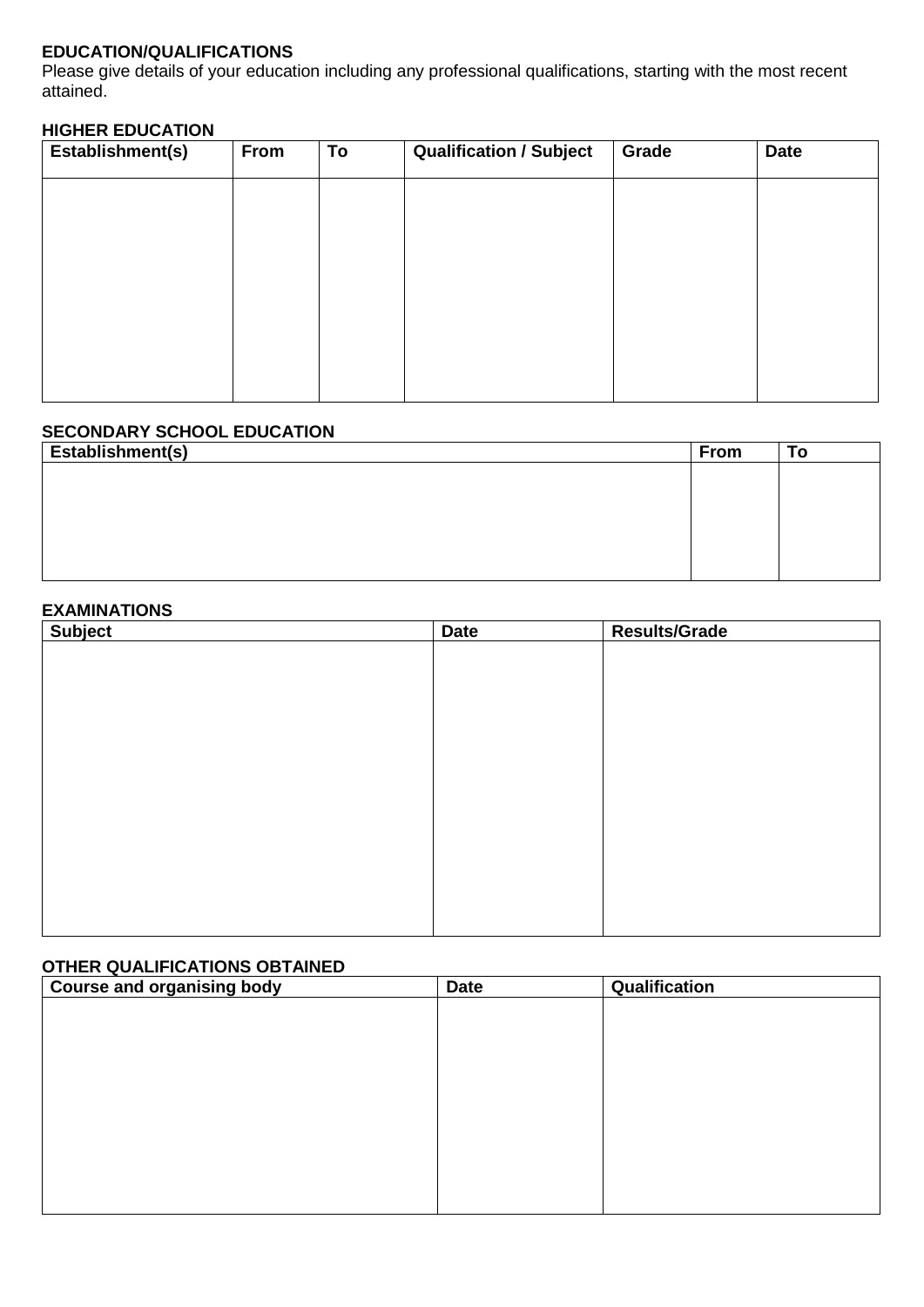## **EDUCATION/QUALIFICATIONS**

Please give details of your education including any professional qualifications, starting with the most recent attained.

## **HIGHER EDUCATION**

| Establishment(s) | From | To | <b>Qualification / Subject</b> | Grade | <b>Date</b> |
|------------------|------|----|--------------------------------|-------|-------------|
|                  |      |    |                                |       |             |
|                  |      |    |                                |       |             |
|                  |      |    |                                |       |             |
|                  |      |    |                                |       |             |
|                  |      |    |                                |       |             |
|                  |      |    |                                |       |             |

## **SECONDARY SCHOOL EDUCATION**

| Establishment(s) | <b>From</b> | To |
|------------------|-------------|----|
|                  |             |    |
|                  |             |    |
|                  |             |    |
|                  |             |    |
|                  |             |    |
|                  |             |    |

## **EXAMINATIONS**

| Subject | <b>Date</b> | <b>Results/Grade</b> |
|---------|-------------|----------------------|
|         |             |                      |
|         |             |                      |
|         |             |                      |
|         |             |                      |
|         |             |                      |
|         |             |                      |
|         |             |                      |
|         |             |                      |
|         |             |                      |
|         |             |                      |
|         |             |                      |
|         |             |                      |
|         |             |                      |

## **OTHER QUALIFICATIONS OBTAINED**

| <b>Course and organising body</b> | <b>Date</b> | Qualification |  |
|-----------------------------------|-------------|---------------|--|
|                                   |             |               |  |
|                                   |             |               |  |
|                                   |             |               |  |
|                                   |             |               |  |
|                                   |             |               |  |
|                                   |             |               |  |
|                                   |             |               |  |
|                                   |             |               |  |
|                                   |             |               |  |
|                                   |             |               |  |
|                                   |             |               |  |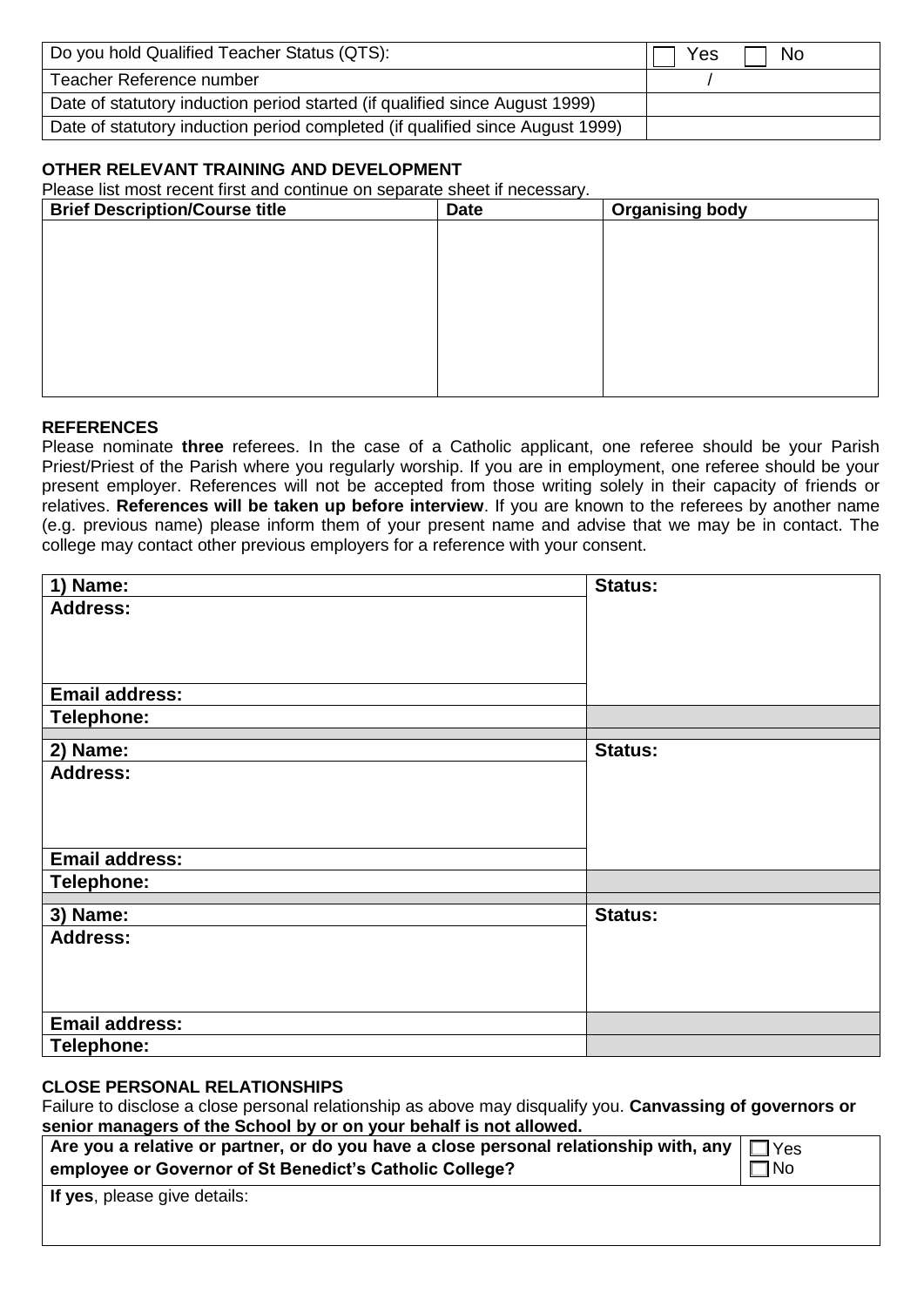| Do you hold Qualified Teacher Status (QTS):                                   | Yes | No |
|-------------------------------------------------------------------------------|-----|----|
| Teacher Reference number                                                      |     |    |
| Date of statutory induction period started (if qualified since August 1999)   |     |    |
| Date of statutory induction period completed (if qualified since August 1999) |     |    |

#### **OTHER RELEVANT TRAINING AND DEVELOPMENT**

Please list most recent first and continue on separate sheet if necessary.

| <b>Brief Description/Course title</b> | <b>Date</b> | <b>Organising body</b> |
|---------------------------------------|-------------|------------------------|
|                                       |             |                        |
|                                       |             |                        |
|                                       |             |                        |
|                                       |             |                        |
|                                       |             |                        |
|                                       |             |                        |
|                                       |             |                        |
|                                       |             |                        |

#### **REFERENCES**

Please nominate **three** referees. In the case of a Catholic applicant, one referee should be your Parish Priest/Priest of the Parish where you regularly worship. If you are in employment, one referee should be your present employer. References will not be accepted from those writing solely in their capacity of friends or relatives. **References will be taken up before interview**. If you are known to the referees by another name (e.g. previous name) please inform them of your present name and advise that we may be in contact. The college may contact other previous employers for a reference with your consent.

| 1) Name:              | Status:        |
|-----------------------|----------------|
| <b>Address:</b>       |                |
|                       |                |
|                       |                |
|                       |                |
| <b>Email address:</b> |                |
| Telephone:            |                |
|                       | Status:        |
| 2) Name:              |                |
| <b>Address:</b>       |                |
|                       |                |
|                       |                |
|                       |                |
| <b>Email address:</b> |                |
| Telephone:            |                |
| 3) Name:              | <b>Status:</b> |
| <b>Address:</b>       |                |
|                       |                |
|                       |                |
|                       |                |
|                       |                |
| <b>Email address:</b> |                |
| Telephone:            |                |

#### **CLOSE PERSONAL RELATIONSHIPS**

Failure to disclose a close personal relationship as above may disqualify you. **Canvassing of governors or senior managers of the School by or on your behalf is not allowed.**

| $\mid$ Are you a relative or partner, or do you have a close personal relationship with, any $\mid$ $\sqcap$ $\vee$ es |           |
|------------------------------------------------------------------------------------------------------------------------|-----------|
| employee or Governor of St Benedict's Catholic College?                                                                | $\Box$ No |
|                                                                                                                        |           |

**If yes**, please give details: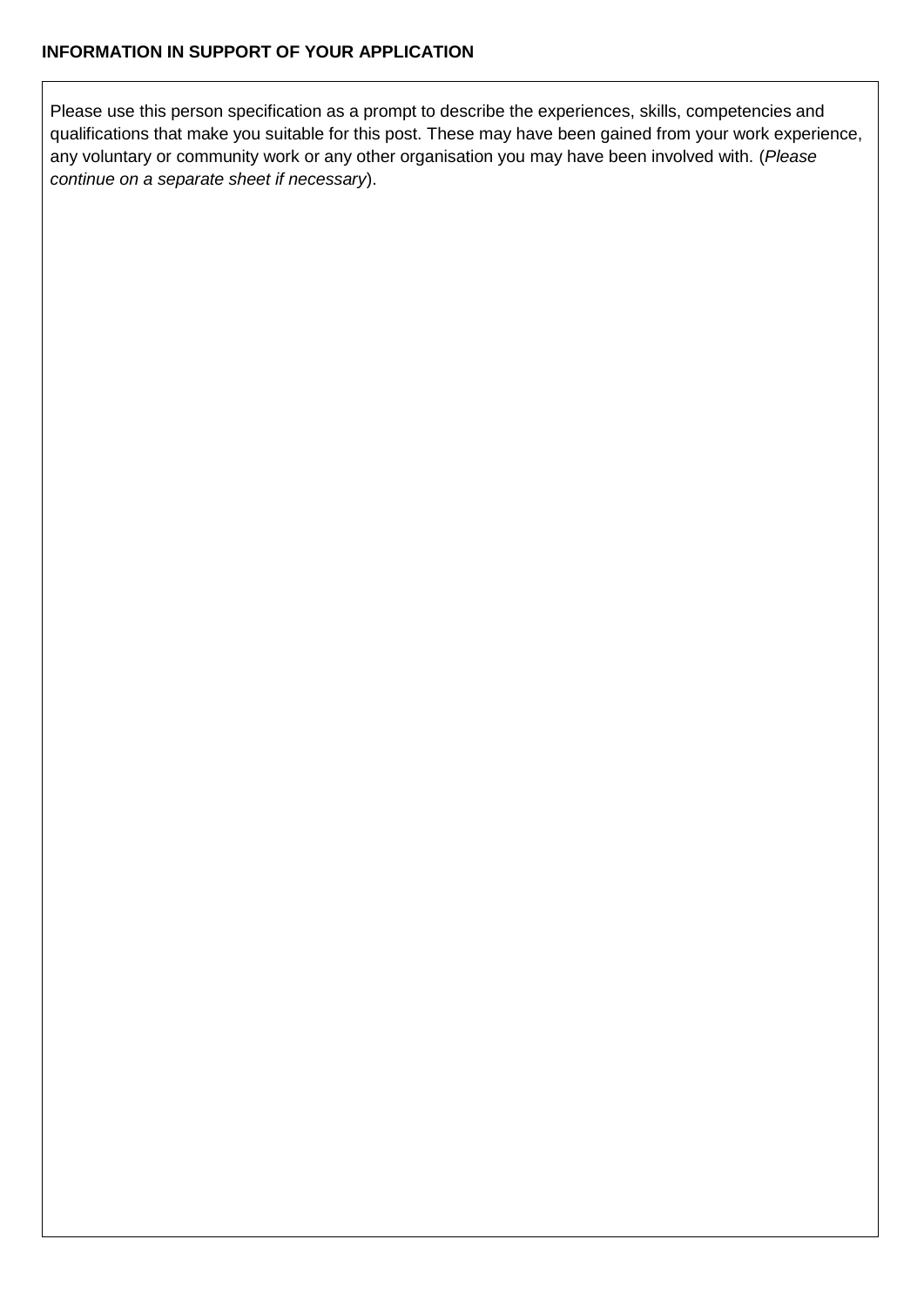Please use this person specification as a prompt to describe the experiences, skills, competencies and qualifications that make you suitable for this post. These may have been gained from your work experience, any voluntary or community work or any other organisation you may have been involved with. (*Please continue on a separate sheet if necessary*).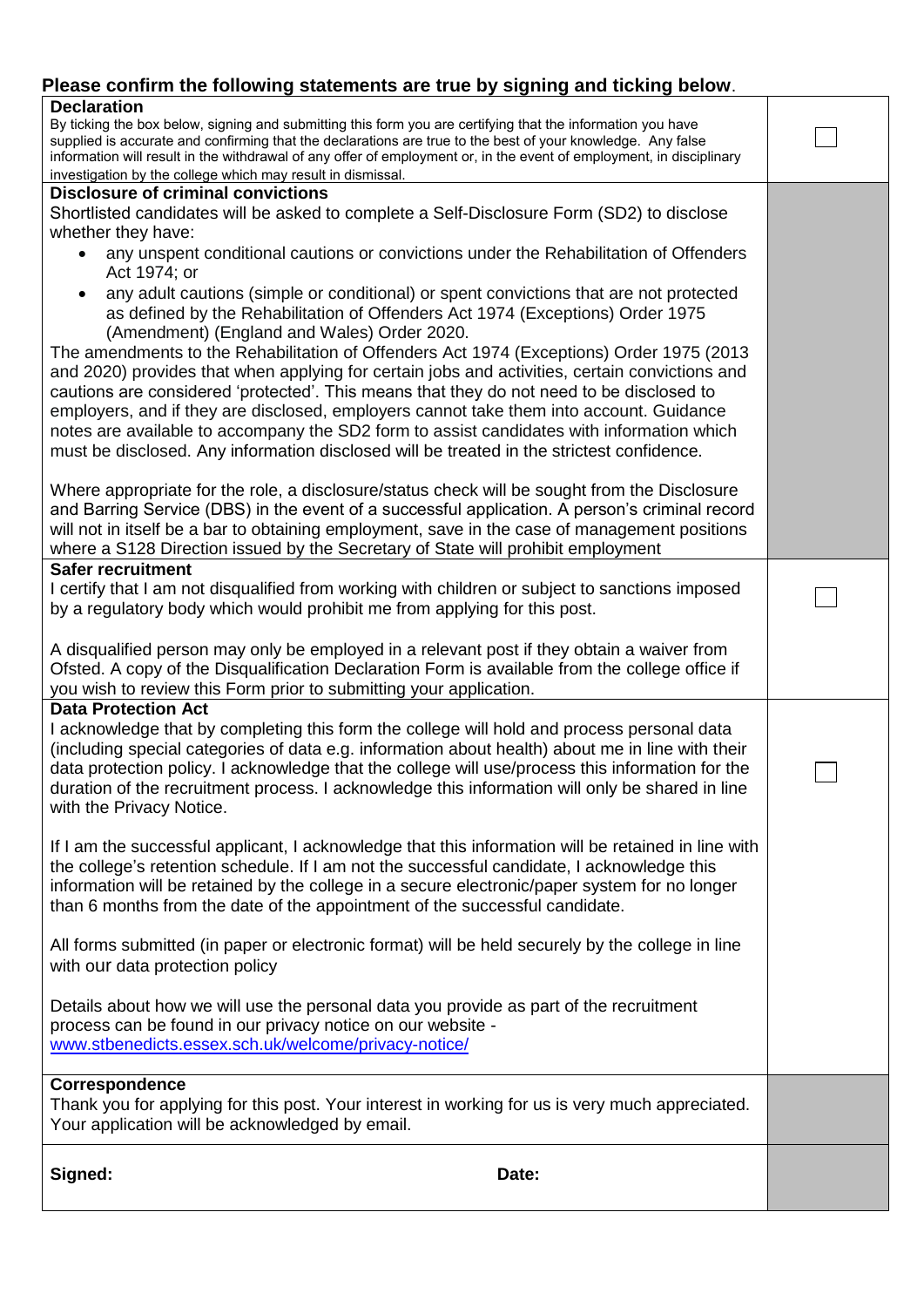# **Please confirm the following statements are true by signing and ticking below**.

| <b>Declaration</b><br>By ticking the box below, signing and submitting this form you are certifying that the information you have<br>supplied is accurate and confirming that the declarations are true to the best of your knowledge. Any false<br>information will result in the withdrawal of any offer of employment or, in the event of employment, in disciplinary<br>investigation by the college which may result in dismissal.                         |  |
|-----------------------------------------------------------------------------------------------------------------------------------------------------------------------------------------------------------------------------------------------------------------------------------------------------------------------------------------------------------------------------------------------------------------------------------------------------------------|--|
| <b>Disclosure of criminal convictions</b><br>Shortlisted candidates will be asked to complete a Self-Disclosure Form (SD2) to disclose                                                                                                                                                                                                                                                                                                                          |  |
| whether they have:                                                                                                                                                                                                                                                                                                                                                                                                                                              |  |
| any unspent conditional cautions or convictions under the Rehabilitation of Offenders<br>Act 1974; or                                                                                                                                                                                                                                                                                                                                                           |  |
| any adult cautions (simple or conditional) or spent convictions that are not protected<br>as defined by the Rehabilitation of Offenders Act 1974 (Exceptions) Order 1975<br>(Amendment) (England and Wales) Order 2020.<br>The amendments to the Rehabilitation of Offenders Act 1974 (Exceptions) Order 1975 (2013                                                                                                                                             |  |
| and 2020) provides that when applying for certain jobs and activities, certain convictions and<br>cautions are considered 'protected'. This means that they do not need to be disclosed to<br>employers, and if they are disclosed, employers cannot take them into account. Guidance<br>notes are available to accompany the SD2 form to assist candidates with information which                                                                              |  |
| must be disclosed. Any information disclosed will be treated in the strictest confidence.                                                                                                                                                                                                                                                                                                                                                                       |  |
| Where appropriate for the role, a disclosure/status check will be sought from the Disclosure<br>and Barring Service (DBS) in the event of a successful application. A person's criminal record<br>will not in itself be a bar to obtaining employment, save in the case of management positions<br>where a S128 Direction issued by the Secretary of State will prohibit employment                                                                             |  |
| <b>Safer recruitment</b>                                                                                                                                                                                                                                                                                                                                                                                                                                        |  |
| I certify that I am not disqualified from working with children or subject to sanctions imposed<br>by a regulatory body which would prohibit me from applying for this post.                                                                                                                                                                                                                                                                                    |  |
| A disqualified person may only be employed in a relevant post if they obtain a waiver from<br>Ofsted. A copy of the Disqualification Declaration Form is available from the college office if<br>you wish to review this Form prior to submitting your application.                                                                                                                                                                                             |  |
| <b>Data Protection Act</b><br>I acknowledge that by completing this form the college will hold and process personal data<br>(including special categories of data e.g. information about health) about me in line with their<br>data protection policy. I acknowledge that the college will use/process this information for the<br>duration of the recruitment process. I acknowledge this information will only be shared in line<br>with the Privacy Notice. |  |
| If I am the successful applicant, I acknowledge that this information will be retained in line with<br>the college's retention schedule. If I am not the successful candidate, I acknowledge this<br>information will be retained by the college in a secure electronic/paper system for no longer<br>than 6 months from the date of the appointment of the successful candidate.                                                                               |  |
| All forms submitted (in paper or electronic format) will be held securely by the college in line<br>with our data protection policy                                                                                                                                                                                                                                                                                                                             |  |
| Details about how we will use the personal data you provide as part of the recruitment<br>process can be found in our privacy notice on our website -<br>www.stbenedicts.essex.sch.uk/welcome/privacy-notice/                                                                                                                                                                                                                                                   |  |
| Correspondence<br>Thank you for applying for this post. Your interest in working for us is very much appreciated.<br>Your application will be acknowledged by email.                                                                                                                                                                                                                                                                                            |  |
| Signed:<br>Date:                                                                                                                                                                                                                                                                                                                                                                                                                                                |  |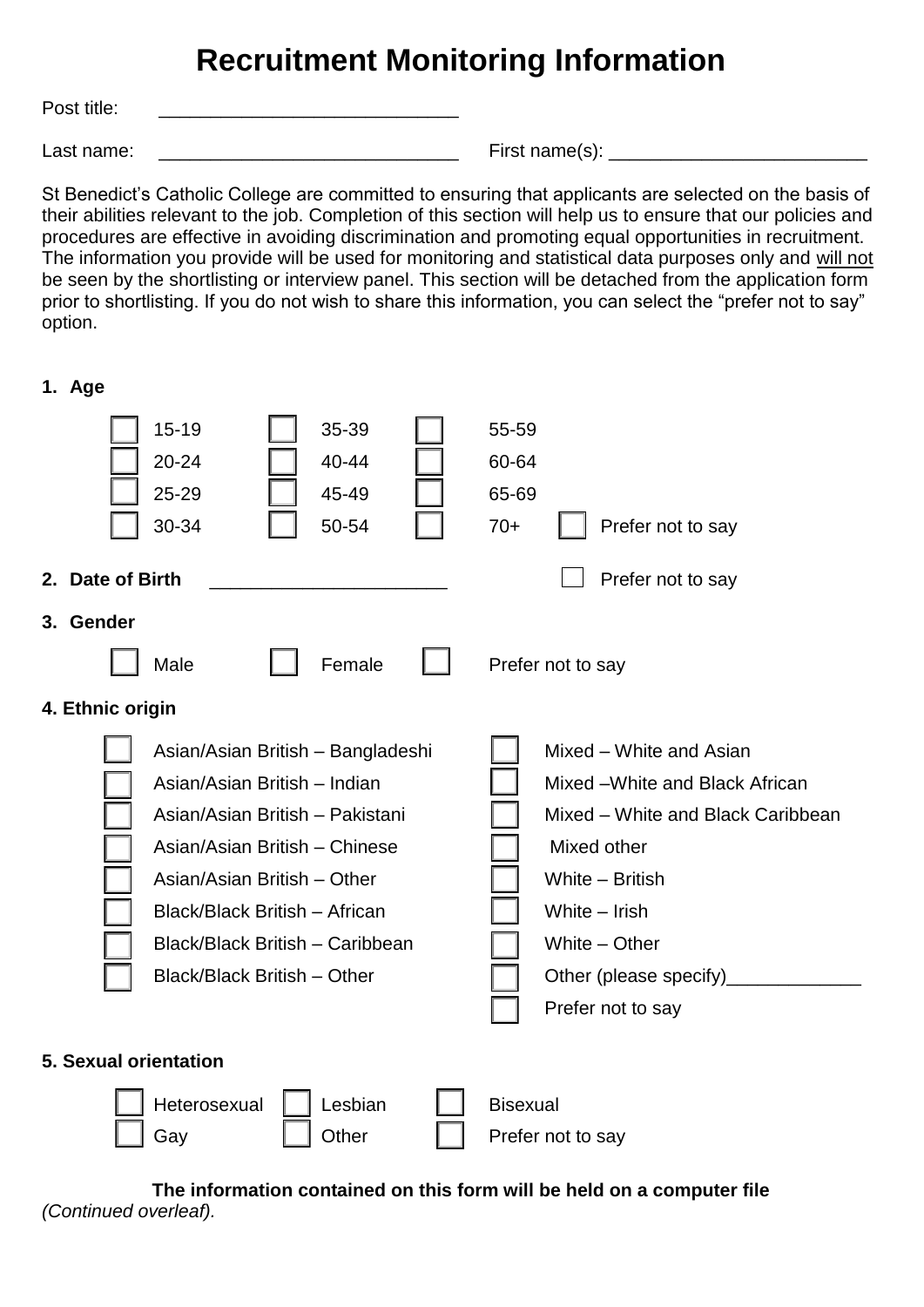# **Recruitment Monitoring Information**

Post title:

**1. Age**

Last name: <br>
Last name is a contract to the contract of the First name(s):  $\overline{C}$ 

St Benedict's Catholic College are committed to ensuring that applicants are selected on the basis of their abilities relevant to the job. Completion of this section will help us to ensure that our policies and procedures are effective in avoiding discrimination and promoting equal opportunities in recruitment. The information you provide will be used for monitoring and statistical data purposes only and will not be seen by the shortlisting or interview panel. This section will be detached from the application form prior to shortlisting. If you do not wish to share this information, you can select the "prefer not to say" option.

15-19 | 35-39 | 55-59 20-24  $\parallel$  40-44  $\parallel$  60-64 25-29 | | 45-49 | | 65-69 30-34 | 50-54 | 70+ | Prefer not to say **2. Date of Birth Department of Birth Prefer not to say 3. Gender** Male | Female | Prefer not to say **4. Ethnic origin** Asian/Asian British – Bangladeshi  $\parallel \parallel$  Mixed – White and Asian Asian/Asian British – Indian Mixed –White and Black African Asian/Asian British – Pakistani Mullel Mixed – White and Black Caribbean Asian/Asian British – Chinese  $\parallel$  Mixed other Asian/Asian British – Other New York Number 1, Number – British Black/Black British – African Muslem Number – Irish Black/Black British – Caribbean  $\Box$  White – Other Black/Black British – Other  $\Box$  Other (please specify) Prefer not to say **5. Sexual orientation** Heterosexual | Lesbian | Bisexual Gay | Other | Prefer not to say

**The information contained on this form will be held on a computer file** *(Continued overleaf).*